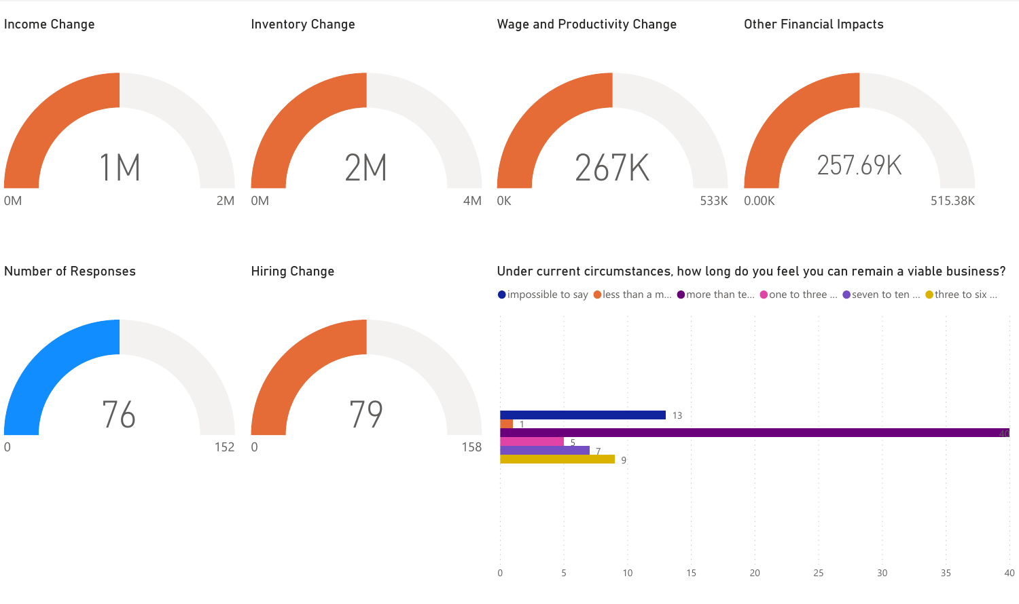